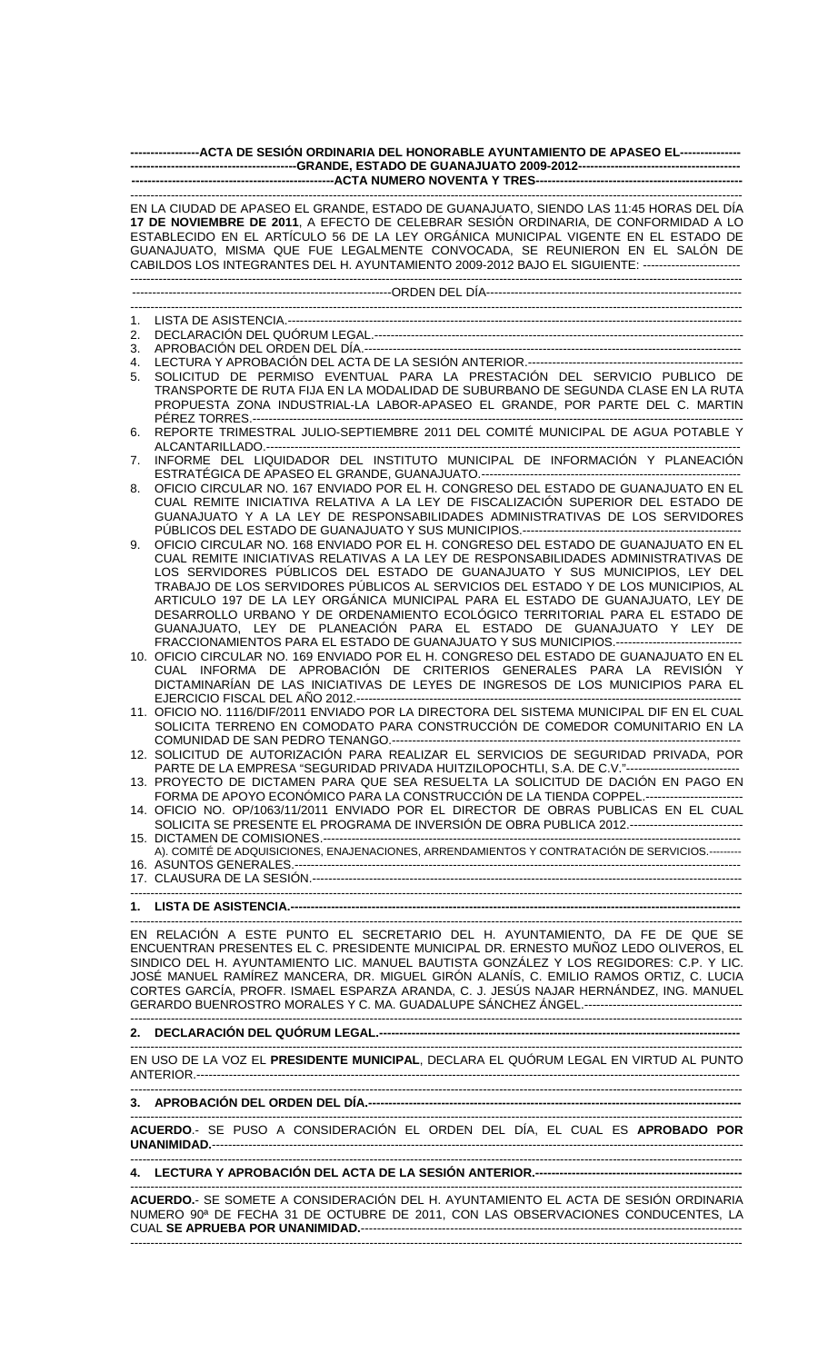| -----------------ACTA DE SESIÓN ORDINARIA DEL HONORABLE AYUNTAMIENTO DE APASEO EL---------------                                                                                                                                                                                                                                                                                                                                                          |                                                                                                                                                                                                                                                                                                                                                                                                                                                                                                                                                                                     |
|-----------------------------------------------------------------------------------------------------------------------------------------------------------------------------------------------------------------------------------------------------------------------------------------------------------------------------------------------------------------------------------------------------------------------------------------------------------|-------------------------------------------------------------------------------------------------------------------------------------------------------------------------------------------------------------------------------------------------------------------------------------------------------------------------------------------------------------------------------------------------------------------------------------------------------------------------------------------------------------------------------------------------------------------------------------|
|                                                                                                                                                                                                                                                                                                                                                                                                                                                           |                                                                                                                                                                                                                                                                                                                                                                                                                                                                                                                                                                                     |
| EN LA CIUDAD DE APASEO EL GRANDE, ESTADO DE GUANAJUATO, SIENDO LAS 11:45 HORAS DEL DÍA<br>17 DE NOVIEMBRE DE 2011, A EFECTO DE CELEBRAR SESIÓN ORDINARIA, DE CONFORMIDAD A LO<br>ESTABLECIDO EN EL ARTÍCULO 56 DE LA LEY ORGÁNICA MUNICIPAL VIGENTE EN EL ESTADO DE<br>GUANAJUATO, MISMA QUE FUE LEGALMENTE CONVOCADA, SE REUNIERON EN EL SALÓN DE<br>CABILDOS LOS INTEGRANTES DEL H. AYUNTAMIENTO 2009-2012 BAJO EL SIGUIENTE: ------------------------- |                                                                                                                                                                                                                                                                                                                                                                                                                                                                                                                                                                                     |
|                                                                                                                                                                                                                                                                                                                                                                                                                                                           |                                                                                                                                                                                                                                                                                                                                                                                                                                                                                                                                                                                     |
|                                                                                                                                                                                                                                                                                                                                                                                                                                                           |                                                                                                                                                                                                                                                                                                                                                                                                                                                                                                                                                                                     |
| 1.                                                                                                                                                                                                                                                                                                                                                                                                                                                        |                                                                                                                                                                                                                                                                                                                                                                                                                                                                                                                                                                                     |
| 2.                                                                                                                                                                                                                                                                                                                                                                                                                                                        |                                                                                                                                                                                                                                                                                                                                                                                                                                                                                                                                                                                     |
| 3.                                                                                                                                                                                                                                                                                                                                                                                                                                                        |                                                                                                                                                                                                                                                                                                                                                                                                                                                                                                                                                                                     |
| 4.<br>5.                                                                                                                                                                                                                                                                                                                                                                                                                                                  | SOLICITUD DE PERMISO EVENTUAL PARA LA PRESTACIÓN DEL SERVICIO PUBLICO DE                                                                                                                                                                                                                                                                                                                                                                                                                                                                                                            |
|                                                                                                                                                                                                                                                                                                                                                                                                                                                           | TRANSPORTE DE RUTA FIJA EN LA MODALIDAD DE SUBURBANO DE SEGUNDA CLASE EN LA RUTA<br>PROPUESTA ZONA INDUSTRIAL-LA LABOR-APASEO EL GRANDE, POR PARTE DEL C. MARTIN                                                                                                                                                                                                                                                                                                                                                                                                                    |
| 6.                                                                                                                                                                                                                                                                                                                                                                                                                                                        | REPORTE TRIMESTRAL JULIO-SEPTIEMBRE 2011 DEL COMITÉ MUNICIPAL DE AGUA POTABLE Y                                                                                                                                                                                                                                                                                                                                                                                                                                                                                                     |
| 7.                                                                                                                                                                                                                                                                                                                                                                                                                                                        | INFORME DEL LIQUIDADOR DEL INSTITUTO MUNICIPAL DE INFORMACIÓN Y PLANEACIÓN                                                                                                                                                                                                                                                                                                                                                                                                                                                                                                          |
| 8.                                                                                                                                                                                                                                                                                                                                                                                                                                                        | OFICIO CIRCULAR NO. 167 ENVIADO POR EL H. CONGRESO DEL ESTADO DE GUANAJUATO EN EL<br>CUAL REMITE INICIATIVA RELATIVA A LA LEY DE FISCALIZACIÓN SUPERIOR DEL ESTADO DE<br>GUANAJUATO Y A LA LEY DE RESPONSABILIDADES ADMINISTRATIVAS DE LOS SERVIDORES                                                                                                                                                                                                                                                                                                                               |
| 9.                                                                                                                                                                                                                                                                                                                                                                                                                                                        | OFICIO CIRCULAR NO. 168 ENVIADO POR EL H. CONGRESO DEL ESTADO DE GUANAJUATO EN EL<br>CUAL REMITE INICIATIVAS RELATIVAS A LA LEY DE RESPONSABILIDADES ADMINISTRATIVAS DE<br>LOS SERVIDORES PÚBLICOS DEL ESTADO DE GUANAJUATO Y SUS MUNICIPIOS, LEY DEL<br>TRABAJO DE LOS SERVIDORES PÚBLICOS AL SERVICIOS DEL ESTADO Y DE LOS MUNICIPIOS, AL<br>ARTICULO 197 DE LA LEY ORGÁNICA MUNICIPAL PARA EL ESTADO DE GUANAJUATO, LEY DE<br>DESARROLLO URBANO Y DE ORDENAMIENTO ECOLÓGICO TERRITORIAL PARA EL ESTADO DE<br>GUANAJUATO, LEY DE PLANEACIÓN PARA EL ESTADO DE GUANAJUATO Y LEY DE |
|                                                                                                                                                                                                                                                                                                                                                                                                                                                           | FRACCIONAMIENTOS PARA EL ESTADO DE GUANAJUATO Y SUS MUNICIPIOS.-------------------------------                                                                                                                                                                                                                                                                                                                                                                                                                                                                                      |
|                                                                                                                                                                                                                                                                                                                                                                                                                                                           | 10. OFICIO CIRCULAR NO. 169 ENVIADO POR EL H. CONGRESO DEL ESTADO DE GUANAJUATO EN EL<br>CUAL INFORMA DE APROBACIÓN DE CRITERIOS GENERALES PARA LA REVISIÓN Y<br>DICTAMINARÍAN DE LAS INICIATIVAS DE LEYES DE INGRESOS DE LOS MUNICIPIOS PARA EL                                                                                                                                                                                                                                                                                                                                    |
|                                                                                                                                                                                                                                                                                                                                                                                                                                                           | 11. OFICIO NO. 1116/DIF/2011 ENVIADO POR LA DIRECTORA DEL SISTEMA MUNICIPAL DIF EN EL CUAL<br>SOLICITA TERRENO EN COMODATO PARA CONSTRUCCIÓN DE COMEDOR COMUNITARIO EN LA                                                                                                                                                                                                                                                                                                                                                                                                           |
|                                                                                                                                                                                                                                                                                                                                                                                                                                                           | 12. SOLICITUD DE AUTORIZACIÓN PARA REALIZAR EL SERVICIOS DE SEGURIDAD PRIVADA, POR<br>PARTE DE LA EMPRESA "SEGURIDAD PRIVADA HUITZILOPOCHTLI, S.A. DE C.V."-----------------------------                                                                                                                                                                                                                                                                                                                                                                                            |
|                                                                                                                                                                                                                                                                                                                                                                                                                                                           | 13. PROYECTO DE DICTAMEN PARA QUE SEA RESUELTA LA SOLICITUD DE DACIÓN EN PAGO EN<br>FORMA DE APOYO ECONÓMICO PARA LA CONSTRUCCIÓN DE LA TIENDA COPPEL.----------------------                                                                                                                                                                                                                                                                                                                                                                                                        |
|                                                                                                                                                                                                                                                                                                                                                                                                                                                           | 14. OFICIO NO. OP/1063/11/2011 ENVIADO POR EL DIRECTOR DE OBRAS PUBLICAS EN EL CUAL<br>SOLICITA SE PRESENTE EL PROGRAMA DE INVERSIÓN DE OBRA PUBLICA 2012.---------------------------                                                                                                                                                                                                                                                                                                                                                                                               |
|                                                                                                                                                                                                                                                                                                                                                                                                                                                           | A). COMITÉ DE ADQUISICIONES, ENAJENACIONES, ARRENDAMIENTOS Y CONTRATACIÓN DE SERVICIOS.---------                                                                                                                                                                                                                                                                                                                                                                                                                                                                                    |
|                                                                                                                                                                                                                                                                                                                                                                                                                                                           |                                                                                                                                                                                                                                                                                                                                                                                                                                                                                                                                                                                     |
|                                                                                                                                                                                                                                                                                                                                                                                                                                                           |                                                                                                                                                                                                                                                                                                                                                                                                                                                                                                                                                                                     |
|                                                                                                                                                                                                                                                                                                                                                                                                                                                           | EN RELACIÓN A ESTE PUNTO EL SECRETARIO DEL H. AYUNTAMIENTO, DA FE DE QUE SE<br>ENCUENTRAN PRESENTES EL C. PRESIDENTE MUNICIPAL DR. ERNESTO MUÑOZ LEDO OLIVEROS, EL<br>SINDICO DEL H. AYUNTAMIENTO LIC. MANUEL BAUTISTA GONZÁLEZ Y LOS REGIDORES: C.P. Y LIC.<br>JOSÉ MANUEL RAMÍREZ MANCERA, DR. MIGUEL GIRÓN ALANÍS, C. EMILIO RAMOS ORTIZ, C. LUCIA<br>CORTES GARCÍA, PROFR. ISMAEL ESPARZA ARANDA, C. J. JESÚS NAJAR HERNÁNDEZ, ING. MANUEL                                                                                                                                      |
|                                                                                                                                                                                                                                                                                                                                                                                                                                                           |                                                                                                                                                                                                                                                                                                                                                                                                                                                                                                                                                                                     |
|                                                                                                                                                                                                                                                                                                                                                                                                                                                           | EN USO DE LA VOZ EL PRESIDENTE MUNICIPAL, DECLARA EL QUÓRUM LEGAL EN VIRTUD AL PUNTO                                                                                                                                                                                                                                                                                                                                                                                                                                                                                                |
|                                                                                                                                                                                                                                                                                                                                                                                                                                                           |                                                                                                                                                                                                                                                                                                                                                                                                                                                                                                                                                                                     |
| ACUERDO.- SE PUSO A CONSIDERACIÓN EL ORDEN DEL DÍA, EL CUAL ES APROBADO POR                                                                                                                                                                                                                                                                                                                                                                               |                                                                                                                                                                                                                                                                                                                                                                                                                                                                                                                                                                                     |
|                                                                                                                                                                                                                                                                                                                                                                                                                                                           |                                                                                                                                                                                                                                                                                                                                                                                                                                                                                                                                                                                     |
|                                                                                                                                                                                                                                                                                                                                                                                                                                                           | ACUERDO.- SE SOMETE A CONSIDERACIÓN DEL H. AYUNTAMIENTO EL ACTA DE SESIÓN ORDINARIA<br>NUMERO 90 <sup>a</sup> DE FECHA 31 DE OCTUBRE DE 2011, CON LAS OBSERVACIONES CONDUCENTES, LA                                                                                                                                                                                                                                                                                                                                                                                                 |
|                                                                                                                                                                                                                                                                                                                                                                                                                                                           |                                                                                                                                                                                                                                                                                                                                                                                                                                                                                                                                                                                     |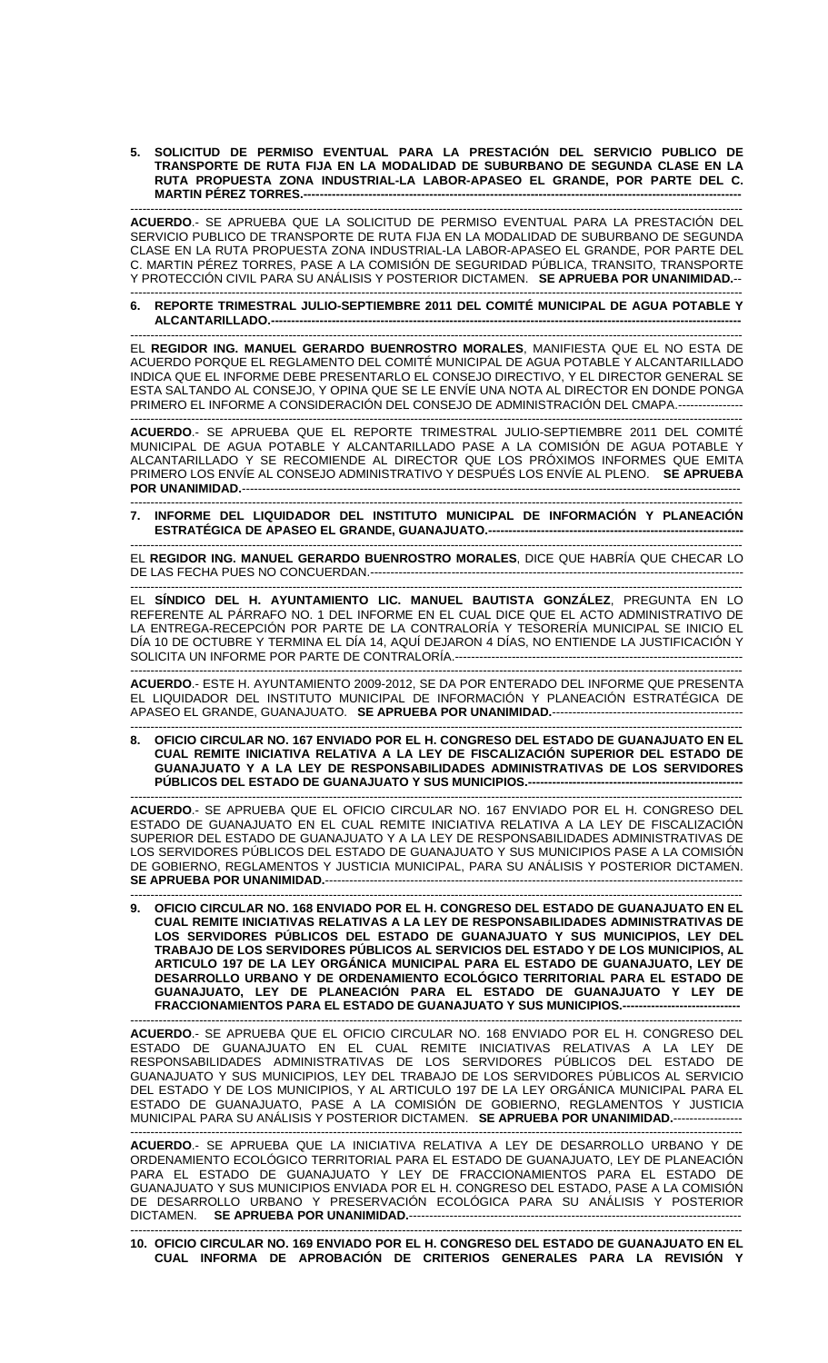**5. SOLICITUD DE PERMISO EVENTUAL PARA LA PRESTACIÓN DEL SERVICIO PUBLICO DE TRANSPORTE DE RUTA FIJA EN LA MODALIDAD DE SUBURBANO DE SEGUNDA CLASE EN LA RUTA PROPUESTA ZONA INDUSTRIAL-LA LABOR-APASEO EL GRANDE, POR PARTE DEL C. MARTIN PÉREZ TORRES.--**

------------------------------------------------------------------------------------------------------------------------------------------------------- **ACUERDO**.- SE APRUEBA QUE LA SOLICITUD DE PERMISO EVENTUAL PARA LA PRESTACIÓN DEL SERVICIO PUBLICO DE TRANSPORTE DE RUTA FIJA EN LA MODALIDAD DE SUBURBANO DE SEGUNDA CLASE EN LA RUTA PROPUESTA ZONA INDUSTRIAL-LA LABOR-APASEO EL GRANDE, POR PARTE DEL C. MARTIN PÉREZ TORRES, PASE A LA COMISIÓN DE SEGURIDAD PÚBLICA, TRANSITO, TRANSPORTE Y PROTECCIÓN CIVIL PARA SU ANÁLISIS Y POSTERIOR DICTAMEN. **SE APRUEBA POR UNANIMIDAD.**--

------------------------------------------------------------------------------------------------------------------------------------------------------- **6. REPORTE TRIMESTRAL JULIO-SEPTIEMBRE 2011 DEL COMITÉ MUNICIPAL DE AGUA POTABLE Y ALCANTARILLADO.--------------------------------------------------------------------------------------------------------------------** 

------------------------------------------------------------------------------------------------------------------------------------------------------- EL **REGIDOR ING. MANUEL GERARDO BUENROSTRO MORALES**, MANIFIESTA QUE EL NO ESTA DE ACUERDO PORQUE EL REGLAMENTO DEL COMITÉ MUNICIPAL DE AGUA POTABLE Y ALCANTARILLADO INDICA QUE EL INFORME DEBE PRESENTARLO EL CONSEJO DIRECTIVO, Y EL DIRECTOR GENERAL SE ESTA SALTANDO AL CONSEJO, Y OPINA QUE SE LE ENVÍE UNA NOTA AL DIRECTOR EN DONDE PONGA PRIMERO EL INFORME A CONSIDERACIÓN DEL CONSEJO DE ADMINISTRACIÓN DEL CMAPA.----------------

------------------------------------------------------------------------------------------------------------------------------------------------------- **ACUERDO**.- SE APRUEBA QUE EL REPORTE TRIMESTRAL JULIO-SEPTIEMBRE 2011 DEL COMITÉ MUNICIPAL DE AGUA POTABLE Y ALCANTARILLADO PASE A LA COMISIÓN DE AGUA POTABLE Y ALCANTARILLADO Y SE RECOMIENDE AL DIRECTOR QUE LOS PRÓXIMOS INFORMES QUE EMITA PRIMERO LOS ENVÍE AL CONSEJO ADMINISTRATIVO Y DESPUÉS LOS ENVÍE AL PLENO. **SE APRUEBA POR UNANIMIDAD.**---------------------------------------------------------------------------------------------------------------------------

------------------------------------------------------------------------------------------------------------------------------------------------------- **7. INFORME DEL LIQUIDADOR DEL INSTITUTO MUNICIPAL DE INFORMACIÓN Y PLANEACIÓN ESTRATÉGICA DE APASEO EL GRANDE, GUANAJUATO.---**

------------------------------------------------------------------------------------------------------------------------------------------------------- EL **REGIDOR ING. MANUEL GERARDO BUENROSTRO MORALES**, DICE QUE HABRÍA QUE CHECAR LO DE LAS FECHA PUES NO CONCUERDAN.--------------------------------------------------------------------------------------------

------------------------------------------------------------------------------------------------------------------------------------------------------- EL **SÍNDICO DEL H. AYUNTAMIENTO LIC. MANUEL BAUTISTA GONZÁLEZ**, PREGUNTA EN LO REFERENTE AL PÁRRAFO NO. 1 DEL INFORME EN EL CUAL DICE QUE EL ACTO ADMINISTRATIVO DE LA ENTREGA-RECEPCIÓN POR PARTE DE LA CONTRALORÍA Y TESORERÍA MUNICIPAL SE INICIO EL DÍA 10 DE OCTUBRE Y TERMINA EL DÍA 14, AQUÍ DEJARON 4 DÍAS, NO ENTIENDE LA JUSTIFICACIÓN Y SOLICITA UN INFORME POR PARTE DE CONTRALORÍA.-----------------------------------------------------------------------

------------------------------------------------------------------------------------------------------------------------------------------------------- **ACUERDO**.- ESTE H. AYUNTAMIENTO 2009-2012, SE DA POR ENTERADO DEL INFORME QUE PRESENTA EL LIQUIDADOR DEL INSTITUTO MUNICIPAL DE INFORMACIÓN Y PLANEACIÓN ESTRATÉGICA DE APASEO EL GRANDE, GUANAJUATO. **SE APRUEBA POR UNANIMIDAD.**-----------------------------------------------

------------------------------------------------------------------------------------------------------------------------------------------------------- **8. OFICIO CIRCULAR NO. 167 ENVIADO POR EL H. CONGRESO DEL ESTADO DE GUANAJUATO EN EL CUAL REMITE INICIATIVA RELATIVA A LA LEY DE FISCALIZACIÓN SUPERIOR DEL ESTADO DE GUANAJUATO Y A LA LEY DE RESPONSABILIDADES ADMINISTRATIVAS DE LOS SERVIDORES PÚBLICOS DEL ESTADO DE GUANAJUATO Y SUS MUNICIPIOS.---**

------------------------------------------------------------------------------------------------------------------------------------------------------- **ACUERDO**.- SE APRUEBA QUE EL OFICIO CIRCULAR NO. 167 ENVIADO POR EL H. CONGRESO DEL ESTADO DE GUANAJUATO EN EL CUAL REMITE INICIATIVA RELATIVA A LA LEY DE FISCALIZACIÓN SUPERIOR DEL ESTADO DE GUANAJUATO Y A LA LEY DE RESPONSABILIDADES ADMINISTRATIVAS DE LOS SERVIDORES PÚBLICOS DEL ESTADO DE GUANAJUATO Y SUS MUNICIPIOS PASE A LA COMISIÓN DE GOBIERNO, REGLAMENTOS Y JUSTICIA MUNICIPAL, PARA SU ANÁLISIS Y POSTERIOR DICTAMEN. **SE APRUEBA POR UNANIMIDAD.---**

------------------------------------------------------------------------------------------------------------------------------------------------------- **9. OFICIO CIRCULAR NO. 168 ENVIADO POR EL H. CONGRESO DEL ESTADO DE GUANAJUATO EN EL CUAL REMITE INICIATIVAS RELATIVAS A LA LEY DE RESPONSABILIDADES ADMINISTRATIVAS DE LOS SERVIDORES PÚBLICOS DEL ESTADO DE GUANAJUATO Y SUS MUNICIPIOS, LEY DEL TRABAJO DE LOS SERVIDORES PÚBLICOS AL SERVICIOS DEL ESTADO Y DE LOS MUNICIPIOS, AL ARTICULO 197 DE LA LEY ORGÁNICA MUNICIPAL PARA EL ESTADO DE GUANAJUATO, LEY DE DESARROLLO URBANO Y DE ORDENAMIENTO ECOLÓGICO TERRITORIAL PARA EL ESTADO DE GUANAJUATO, LEY DE PLANEACIÓN PARA EL ESTADO DE GUANAJUATO Y LEY DE FRACCIONAMIENTOS PARA EL ESTADO DE GUANAJUATO Y SUS MUNICIPIOS.-----------------------------** 

------------------------------------------------------------------------------------------------------------------------------------------------------- **ACUERDO**.- SE APRUEBA QUE EL OFICIO CIRCULAR NO. 168 ENVIADO POR EL H. CONGRESO DEL ESTADO DE GUANAJUATO EN EL CUAL REMITE INICIATIVAS RELATIVAS A LA LEY DE RESPONSABILIDADES ADMINISTRATIVAS DE LOS SERVIDORES PÚBLICOS DEL ESTADO DE GUANAJUATO Y SUS MUNICIPIOS, LEY DEL TRABAJO DE LOS SERVIDORES PÚBLICOS AL SERVICIO DEL ESTADO Y DE LOS MUNICIPIOS, Y AL ARTICULO 197 DE LA LEY ORGÁNICA MUNICIPAL PARA EL ESTADO DE GUANAJUATO, PASE A LA COMISIÓN DE GOBIERNO, REGLAMENTOS Y JUSTICIA MUNICIPAL PARA SU ANÁLISIS Y POSTERIOR DICTAMEN. SE APRUEBA POR UNANIMIDAD.----

------------------------------------------------------------------------------------------------------------------------------------------------------- **ACUERDO**.- SE APRUEBA QUE LA INICIATIVA RELATIVA A LEY DE DESARROLLO URBANO Y DE ORDENAMIENTO ECOLÓGICO TERRITORIAL PARA EL ESTADO DE GUANAJUATO, LEY DE PLANEACIÓN PARA EL ESTADO DE GUANAJUATO Y LEY DE FRACCIONAMIENTOS PARA EL ESTADO DE GUANAJUATO Y SUS MUNICIPIOS ENVIADA POR EL H. CONGRESO DEL ESTADO, PASE A LA COMISIÓN DE DESARROLLO URBANO Y PRESERVACIÓN ECOLÓGICA PARA SU ANÁLISIS Y POSTERIOR DICTAMEN. **SE APRUEBA POR UNANIMIDAD.**----------------------------------------------------------------------------------

------------------------------------------------------------------------------------------------------------------------------------------------------- **10. OFICIO CIRCULAR NO. 169 ENVIADO POR EL H. CONGRESO DEL ESTADO DE GUANAJUATO EN EL CUAL INFORMA DE APROBACIÓN DE CRITERIOS GENERALES PARA LA REVISIÓN Y**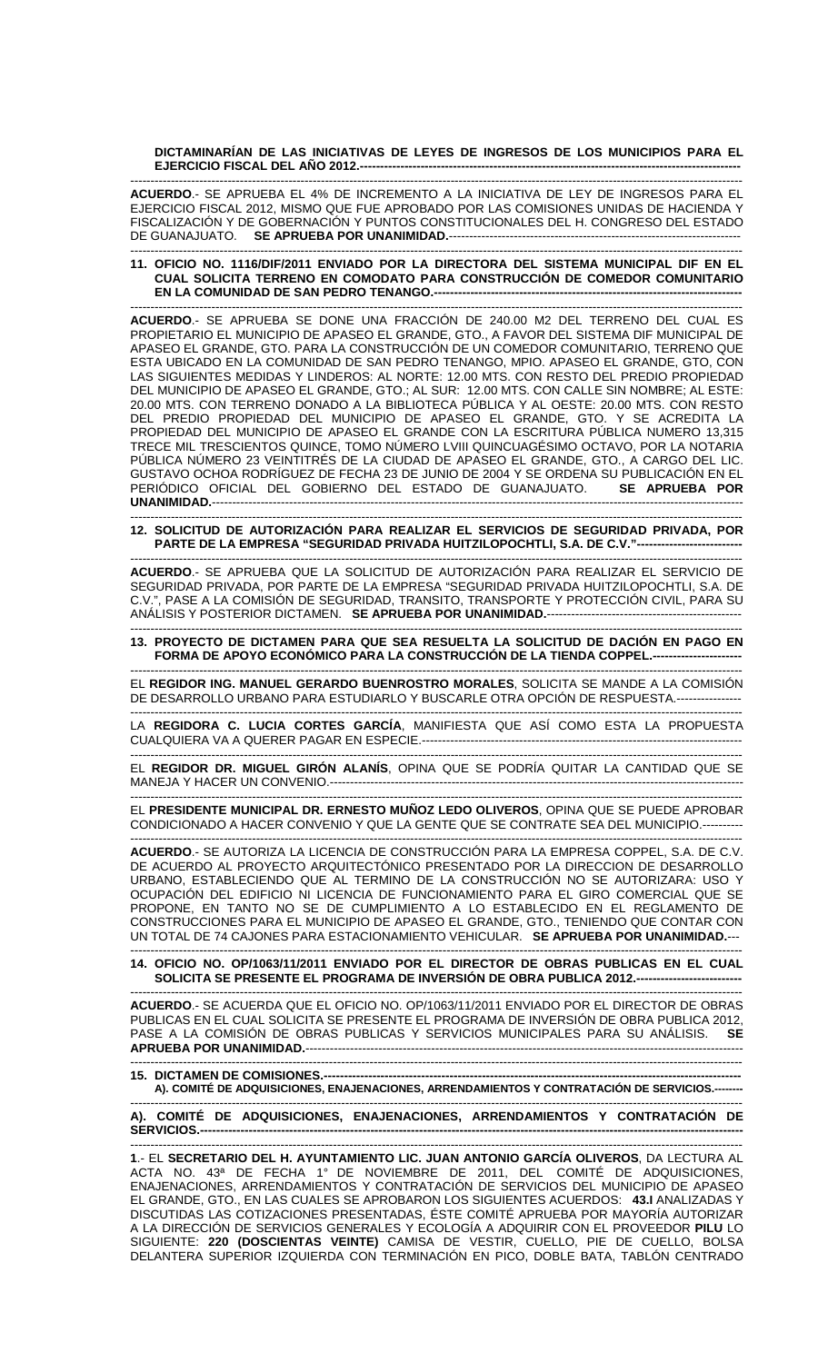**DICTAMINARÍAN DE LAS INICIATIVAS DE LEYES DE INGRESOS DE LOS MUNICIPIOS PARA EL EJERCICIO FISCAL DEL AÑO 2012.--**

------------------------------------------------------------------------------------------------------------------------------------------------------- **ACUERDO**.- SE APRUEBA EL 4% DE INCREMENTO A LA INICIATIVA DE LEY DE INGRESOS PARA EL EJERCICIO FISCAL 2012, MISMO QUE FUE APROBADO POR LAS COMISIONES UNIDAS DE HACIENDA Y FISCALIZACIÓN Y DE GOBERNACIÓN Y PUNTOS CONSTITUCIONALES DEL H. CONGRESO DEL ESTADO DE GUANAJUATO. **SE APRUEBA POR UNANIMIDAD.**------------------------------------------------------------------------

------------------------------------------------------------------------------------------------------------------------------------------------------- **11. OFICIO NO. 1116/DIF/2011 ENVIADO POR LA DIRECTORA DEL SISTEMA MUNICIPAL DIF EN EL CUAL SOLICITA TERRENO EN COMODATO PARA CONSTRUCCIÓN DE COMEDOR COMUNITARIO EN LA COMUNIDAD DE SAN PEDRO TENANGO.---**

------------------------------------------------------------------------------------------------------------------------------------------------------- **ACUERDO**.- SE APRUEBA SE DONE UNA FRACCIÓN DE 240.00 M2 DEL TERRENO DEL CUAL ES PROPIETARIO EL MUNICIPIO DE APASEO EL GRANDE, GTO., A FAVOR DEL SISTEMA DIF MUNICIPAL DE APASEO EL GRANDE, GTO. PARA LA CONSTRUCCIÓN DE UN COMEDOR COMUNITARIO, TERRENO QUE ESTA UBICADO EN LA COMUNIDAD DE SAN PEDRO TENANGO, MPIO. APASEO EL GRANDE, GTO, CON LAS SIGUIENTES MEDIDAS Y LINDEROS: AL NORTE: 12.00 MTS. CON RESTO DEL PREDIO PROPIEDAD DEL MUNICIPIO DE APASEO EL GRANDE, GTO.; AL SUR: 12.00 MTS. CON CALLE SIN NOMBRE; AL ESTE: 20.00 MTS. CON TERRENO DONADO A LA BIBLIOTECA PÚBLICA Y AL OESTE: 20.00 MTS. CON RESTO DEL PREDIO PROPIEDAD DEL MUNICIPIO DE APASEO EL GRANDE, GTO. Y SE ACREDITA LA PROPIEDAD DEL MUNICIPIO DE APASEO EL GRANDE CON LA ESCRITURA PÚBLICA NUMERO 13,315 TRECE MIL TRESCIENTOS QUINCE, TOMO NÚMERO LVIII QUINCUAGÉSIMO OCTAVO, POR LA NOTARIA PÚBLICA NÚMERO 23 VEINTITRÉS DE LA CIUDAD DE APASEO EL GRANDE, GTO., A CARGO DEL LIC. GUSTAVO OCHOA RODRÍGUEZ DE FECHA 23 DE JUNIO DE 2004 Y SE ORDENA SU PUBLICACIÓN EN EL PERIÓDICO OFICIAL DEL GOBIERNO DEL ESTADO DE GUANAJUATO. **SE APRUEBA POR UNANIMIDAD.----**

------------------------------------------------------------------------------------------------------------------------------------------------------- **12. SOLICITUD DE AUTORIZACIÓN PARA REALIZAR EL SERVICIOS DE SEGURIDAD PRIVADA, POR PARTE DE LA EMPRESA "SEGURIDAD PRIVADA HUITZILOPOCHTLI, S.A. DE C.V."--------------------------** 

------------------------------------------------------------------------------------------------------------------------------------------------------- **ACUERDO**.- SE APRUEBA QUE LA SOLICITUD DE AUTORIZACIÓN PARA REALIZAR EL SERVICIO DE SEGURIDAD PRIVADA, POR PARTE DE LA EMPRESA "SEGURIDAD PRIVADA HUITZILOPOCHTLI, S.A. DE C.V.", PASE A LA COMISIÓN DE SEGURIDAD, TRANSITO, TRANSPORTE Y PROTECCIÓN CIVIL, PARA SU ANÁLISIS Y POSTERIOR DICTAMEN. **SE APRUEBA POR UNANIMIDAD.**--

------------------------------------------------------------------------------------------------------------------------------------------------------- **13. PROYECTO DE DICTAMEN PARA QUE SEA RESUELTA LA SOLICITUD DE DACIÓN EN PAGO EN FORMA DE APOYO ECONÓMICO PARA LA CONSTRUCCIÓN DE LA TIENDA COPPEL.----------------------** 

------------------------------------------------------------------------------------------------------------------------------------------------------- EL **REGIDOR ING. MANUEL GERARDO BUENROSTRO MORALES**, SOLICITA SE MANDE A LA COMISIÓN DE DESARROLLO URBANO PARA ESTUDIARLO Y BUSCARLE OTRA OPCIÓN DE RESPUESTA.----------------

------------------------------------------------------------------------------------------------------------------------------------------------------- LA **REGIDORA C. LUCIA CORTES GARCÍA**, MANIFIESTA QUE ASÍ COMO ESTA LA PROPUESTA CUALQUIERA VA A QUERER PAGAR EN ESPECIE.-------------------------------------------------------------------------------

------------------------------------------------------------------------------------------------------------------------------------------------------- EL **REGIDOR DR. MIGUEL GIRÓN ALANÍS**, OPINA QUE SE PODRÍA QUITAR LA CANTIDAD QUE SE MANEJA Y HACER UN CONVENIO.------------------------------------------------------------------------------------------------------

------------------------------------------------------------------------------------------------------------------------------------------------------- EL **PRESIDENTE MUNICIPAL DR. ERNESTO MUÑOZ LEDO OLIVEROS**, OPINA QUE SE PUEDE APROBAR CONDICIONADO A HACER CONVENIO Y QUE LA GENTE QUE SE CONTRATE SEA DEL MUNICIPIO.----------

------------------------------------------------------------------------------------------------------------------------------------------------------- **ACUERDO**.- SE AUTORIZA LA LICENCIA DE CONSTRUCCIÓN PARA LA EMPRESA COPPEL, S.A. DE C.V. DE ACUERDO AL PROYECTO ARQUITECTÓNICO PRESENTADO POR LA DIRECCION DE DESARROLLO URBANO, ESTABLECIENDO QUE AL TERMINO DE LA CONSTRUCCIÓN NO SE AUTORIZARA: USO Y OCUPACIÓN DEL EDIFICIO NI LICENCIA DE FUNCIONAMIENTO PARA EL GIRO COMERCIAL QUE SE PROPONE, EN TANTO NO SE DE CUMPLIMIENTO A LO ESTABLECIDO EN EL REGLAMENTO DE CONSTRUCCIONES PARA EL MUNICIPIO DE APASEO EL GRANDE, GTO., TENIENDO QUE CONTAR CON UN TOTAL DE 74 CAJONES PARA ESTACIONAMIENTO VEHICULAR. **SE APRUEBA POR UNANIMIDAD.**--- -------------------------------------------------------------------------------------------------------------------------------------------------------

## **14. OFICIO NO. OP/1063/11/2011 ENVIADO POR EL DIRECTOR DE OBRAS PUBLICAS EN EL CUAL**  SOLICITA SE PRESENTE EL PROGRAMA DE INVERSIÓN DE OBRA PUBLICA 2012.---

------------------------------------------------------------------------------------------------------------------------------------------------------- **ACUERDO**.- SE ACUERDA QUE EL OFICIO NO. OP/1063/11/2011 ENVIADO POR EL DIRECTOR DE OBRAS PUBLICAS EN EL CUAL SOLICITA SE PRESENTE EL PROGRAMA DE INVERSIÓN DE OBRA PUBLICA 2012, PASE A LA COMISIÓN DE OBRAS PUBLICAS Y SERVICIOS MUNICIPALES PARA SU ANÁLISIS. **SE APRUEBA POR UNANIMIDAD.--**

------------------------------------------------------------------------------------------------------------------------------------------------------- **15. DICTAMEN DE COMISIONES.** A). COMITÉ DE ADQUISICIONES, ENAJENACIONES, ARRENDAMIENTOS Y CONTRATACIÓN DE SERVICIOS.

------------------------------------------------------------------------------------------------------------------------------------------------------- **A). COMITÉ DE ADQUISICIONES, ENAJENACIONES, ARRENDAMIENTOS Y CONTRATACIÓN DE**  SERVICIOS.-

------------------------------------------------------------------------------------------------------------------------------------------------------- **1**.- EL **SECRETARIO DEL H. AYUNTAMIENTO LIC. JUAN ANTONIO GARCÍA OLIVEROS**, DA LECTURA AL ACTA NO. 43ª DE FECHA 1° DE NOVIEMBRE DE 2011, DEL COMITÉ DE ADQUISICIONES, ENAJENACIONES, ARRENDAMIENTOS Y CONTRATACIÓN DE SERVICIOS DEL MUNICIPIO DE APASEO EL GRANDE, GTO., EN LAS CUALES SE APROBARON LOS SIGUIENTES ACUERDOS: **43.I** ANALIZADAS Y DISCUTIDAS LAS COTIZACIONES PRESENTADAS, ÉSTE COMITÉ APRUEBA POR MAYORÍA AUTORIZAR A LA DIRECCIÓN DE SERVICIOS GENERALES Y ECOLOGÍA A ADQUIRIR CON EL PROVEEDOR **PILU** LO SIGUIENTE: **220 (DOSCIENTAS VEINTE)** CAMISA DE VESTIR, CUELLO, PIE DE CUELLO, BOLSA DELANTERA SUPERIOR IZQUIERDA CON TERMINACIÓN EN PICO, DOBLE BATA, TABLÓN CENTRADO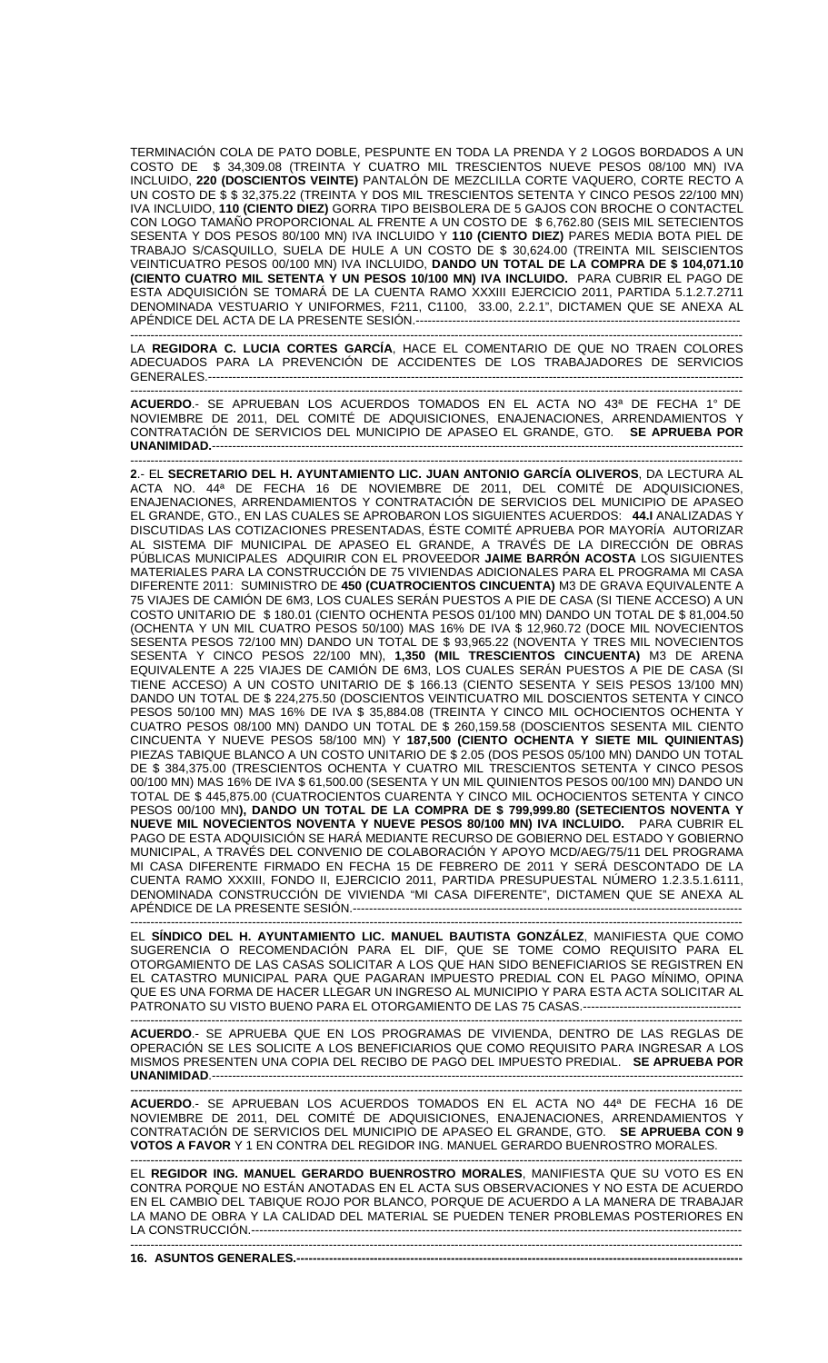TERMINACIÓN COLA DE PATO DOBLE, PESPUNTE EN TODA LA PRENDA Y 2 LOGOS BORDADOS A UN COSTO DE \$ 34,309.08 (TREINTA Y CUATRO MIL TRESCIENTOS NUEVE PESOS 08/100 MN) IVA INCLUIDO, **220 (DOSCIENTOS VEINTE)** PANTALÓN DE MEZCLILLA CORTE VAQUERO, CORTE RECTO A UN COSTO DE \$ \$ 32,375.22 (TREINTA Y DOS MIL TRESCIENTOS SETENTA Y CINCO PESOS 22/100 MN) IVA INCLUIDO, **110 (CIENTO DIEZ)** GORRA TIPO BEISBOLERA DE 5 GAJOS CON BROCHE O CONTACTEL CON LOGO TAMAÑO PROPORCIONAL AL FRENTE A UN COSTO DE \$ 6,762.80 (SEIS MIL SETECIENTOS SESENTA Y DOS PESOS 80/100 MN) IVA INCLUIDO Y **110 (CIENTO DIEZ)** PARES MEDIA BOTA PIEL DE TRABAJO S/CASQUILLO, SUELA DE HULE A UN COSTO DE \$ 30,624.00 (TREINTA MIL SEISCIENTOS VEINTICUATRO PESOS 00/100 MN) IVA INCLUIDO, **DANDO UN TOTAL DE LA COMPRA DE \$ 104,071.10 (CIENTO CUATRO MIL SETENTA Y UN PESOS 10/100 MN) IVA INCLUIDO.** PARA CUBRIR EL PAGO DE ESTA ADQUISICIÓN SE TOMARÁ DE LA CUENTA RAMO XXXIII EJERCICIO 2011, PARTIDA 5.1.2.7.2711 DENOMINADA VESTUARIO Y UNIFORMES, F211, C1100, 33.00, 2.2.1", DICTAMEN QUE SE ANEXA AL APÉNDICE DEL ACTA DE LA PRESENTE SESIÓN.--------------------------------------------------------------------------------

------------------------------------------------------------------------------------------------------------------------------------------------------- LA **REGIDORA C. LUCIA CORTES GARCÍA**, HACE EL COMENTARIO DE QUE NO TRAEN COLORES ADECUADOS PARA LA PREVENCIÓN DE ACCIDENTES DE LOS TRABAJADORES DE SERVICIOS GENERALES.------------------------------------------------------------------------------------------------------------------------------------

------------------------------------------------------------------------------------------------------------------------------------------------------- **ACUERDO**.- SE APRUEBAN LOS ACUERDOS TOMADOS EN EL ACTA NO 43ª DE FECHA 1° DE NOVIEMBRE DE 2011, DEL COMITÉ DE ADQUISICIONES, ENAJENACIONES, ARRENDAMIENTOS Y CONTRATACIÓN DE SERVICIOS DEL MUNICIPIO DE APASEO EL GRANDE, GTO. **SE APRUEBA POR UNANIMIDAD.**-----------------------------------------------------------------------------------------------------------------------------------

------------------------------------------------------------------------------------------------------------------------------------------------------- **2**.- EL **SECRETARIO DEL H. AYUNTAMIENTO LIC. JUAN ANTONIO GARCÍA OLIVEROS**, DA LECTURA AL ACTA NO. 44ª DE FECHA 16 DE NOVIEMBRE DE 2011, DEL COMITÉ DE ADQUISICIONES, ENAJENACIONES, ARRENDAMIENTOS Y CONTRATACIÓN DE SERVICIOS DEL MUNICIPIO DE APASEO EL GRANDE, GTO., EN LAS CUALES SE APROBARON LOS SIGUIENTES ACUERDOS: **44.I** ANALIZADAS Y DISCUTIDAS LAS COTIZACIONES PRESENTADAS, ÉSTE COMITÉ APRUEBA POR MAYORÍA AUTORIZAR AL SISTEMA DIF MUNICIPAL DE APASEO EL GRANDE, A TRAVÉS DE LA DIRECCIÓN DE OBRAS PÚBLICAS MUNICIPALES ADQUIRIR CON EL PROVEEDOR **JAIME BARRÓN ACOSTA** LOS SIGUIENTES MATERIALES PARA LA CONSTRUCCIÓN DE 75 VIVIENDAS ADICIONALES PARA EL PROGRAMA MI CASA DIFERENTE 2011: SUMINISTRO DE **450 (CUATROCIENTOS CINCUENTA)** M3 DE GRAVA EQUIVALENTE A 75 VIAJES DE CAMIÓN DE 6M3, LOS CUALES SERÁN PUESTOS A PIE DE CASA (SI TIENE ACCESO) A UN COSTO UNITARIO DE \$ 180.01 (CIENTO OCHENTA PESOS 01/100 MN) DANDO UN TOTAL DE \$ 81,004.50 (OCHENTA Y UN MIL CUATRO PESOS 50/100) MAS 16% DE IVA \$ 12,960.72 (DOCE MIL NOVECIENTOS SESENTA PESOS 72/100 MN) DANDO UN TOTAL DE \$ 93,965.22 (NOVENTA Y TRES MIL NOVECIENTOS SESENTA Y CINCO PESOS 22/100 MN), **1,350 (MIL TRESCIENTOS CINCUENTA)** M3 DE ARENA EQUIVALENTE A 225 VIAJES DE CAMIÓN DE 6M3, LOS CUALES SERÁN PUESTOS A PIE DE CASA (SI TIENE ACCESO) A UN COSTO UNITARIO DE \$ 166.13 (CIENTO SESENTA Y SEIS PESOS 13/100 MN) DANDO UN TOTAL DE \$ 224,275.50 (DOSCIENTOS VEINTICUATRO MIL DOSCIENTOS SETENTA Y CINCO PESOS 50/100 MN) MAS 16% DE IVA \$ 35,884.08 (TREINTA Y CINCO MIL OCHOCIENTOS OCHENTA Y CUATRO PESOS 08/100 MN) DANDO UN TOTAL DE \$ 260,159.58 (DOSCIENTOS SESENTA MIL CIENTO CINCUENTA Y NUEVE PESOS 58/100 MN) Y **187,500 (CIENTO OCHENTA Y SIETE MIL QUINIENTAS)** PIEZAS TABIQUE BLANCO A UN COSTO UNITARIO DE \$ 2.05 (DOS PESOS 05/100 MN) DANDO UN TOTAL DE \$ 384,375.00 (TRESCIENTOS OCHENTA Y CUATRO MIL TRESCIENTOS SETENTA Y CINCO PESOS 00/100 MN) MAS 16% DE IVA \$ 61,500.00 (SESENTA Y UN MIL QUINIENTOS PESOS 00/100 MN) DANDO UN TOTAL DE \$ 445,875.00 (CUATROCIENTOS CUARENTA Y CINCO MIL OCHOCIENTOS SETENTA Y CINCO PESOS 00/100 MN**), DANDO UN TOTAL DE LA COMPRA DE \$ 799,999.80 (SETECIENTOS NOVENTA Y NUEVE MIL NOVECIENTOS NOVENTA Y NUEVE PESOS 80/100 MN) IVA INCLUIDO.** PARA CUBRIR EL PAGO DE ESTA ADQUISICIÓN SE HARÁ MEDIANTE RECURSO DE GOBIERNO DEL ESTADO Y GOBIERNO MUNICIPAL, A TRAVÉS DEL CONVENIO DE COLABORACIÓN Y APOYO MCD/AEG/75/11 DEL PROGRAMA MI CASA DIFERENTE FIRMADO EN FECHA 15 DE FEBRERO DE 2011 Y SERÁ DESCONTADO DE LA CUENTA RAMO XXXIII, FONDO II, EJERCICIO 2011, PARTIDA PRESUPUESTAL NÚMERO 1.2.3.5.1.6111, DENOMINADA CONSTRUCCIÓN DE VIVIENDA "MI CASA DIFERENTE", DICTAMEN QUE SE ANEXA AL APÉNDICE DE LA PRESENTE SESIÓN.------------------------------------------------------------------------------------------------

EL **SÍNDICO DEL H. AYUNTAMIENTO LIC. MANUEL BAUTISTA GONZÁLEZ**, MANIFIESTA QUE COMO SUGERENCIA O RECOMENDACIÓN PARA EL DIF, QUE SE TOME COMO REQUISITO PARA EL OTORGAMIENTO DE LAS CASAS SOLICITAR A LOS QUE HAN SIDO BENEFICIARIOS SE REGISTREN EN EL CATASTRO MUNICIPAL PARA QUE PAGARAN IMPUESTO PREDIAL CON EL PAGO MÍNIMO, OPINA QUE ES UNA FORMA DE HACER LLEGAR UN INGRESO AL MUNICIPIO Y PARA ESTA ACTA SOLICITAR AL PATRONATO SU VISTO BUENO PARA EL OTORGAMIENTO DE LAS 75 CASAS.--------------------------------------- -------------------------------------------------------------------------------------------------------------------------------------------------------

-------------------------------------------------------------------------------------------------------------------------------------------------------

**ACUERDO**.- SE APRUEBA QUE EN LOS PROGRAMAS DE VIVIENDA, DENTRO DE LAS REGLAS DE OPERACIÓN SE LES SOLICITE A LOS BENEFICIARIOS QUE COMO REQUISITO PARA INGRESAR A LOS MISMOS PRESENTEN UNA COPIA DEL RECIBO DE PAGO DEL IMPUESTO PREDIAL. **SE APRUEBA POR UNANIMIDAD.----**

------------------------------------------------------------------------------------------------------------------------------------------------------- **ACUERDO**.- SE APRUEBAN LOS ACUERDOS TOMADOS EN EL ACTA NO 44ª DE FECHA 16 DE NOVIEMBRE DE 2011, DEL COMITÉ DE ADQUISICIONES, ENAJENACIONES, ARRENDAMIENTOS Y CONTRATACIÓN DE SERVICIOS DEL MUNICIPIO DE APASEO EL GRANDE, GTO. **SE APRUEBA CON 9 VOTOS A FAVOR** Y 1 EN CONTRA DEL REGIDOR ING. MANUEL GERARDO BUENROSTRO MORALES.

------------------------------------------------------------------------------------------------------------------------------------------------------- EL **REGIDOR ING. MANUEL GERARDO BUENROSTRO MORALES**, MANIFIESTA QUE SU VOTO ES EN CONTRA PORQUE NO ESTÁN ANOTADAS EN EL ACTA SUS OBSERVACIONES Y NO ESTA DE ACUERDO EN EL CAMBIO DEL TABIQUE ROJO POR BLANCO, PORQUE DE ACUERDO A LA MANERA DE TRABAJAR LA MANO DE OBRA Y LA CALIDAD DEL MATERIAL SE PUEDEN TENER PROBLEMAS POSTERIORES EN LA CONSTRUCCIÓN.----

------------------------------------------------------------------------------------------------------------------------------------------------------- **16. ASUNTOS GENERALES.------**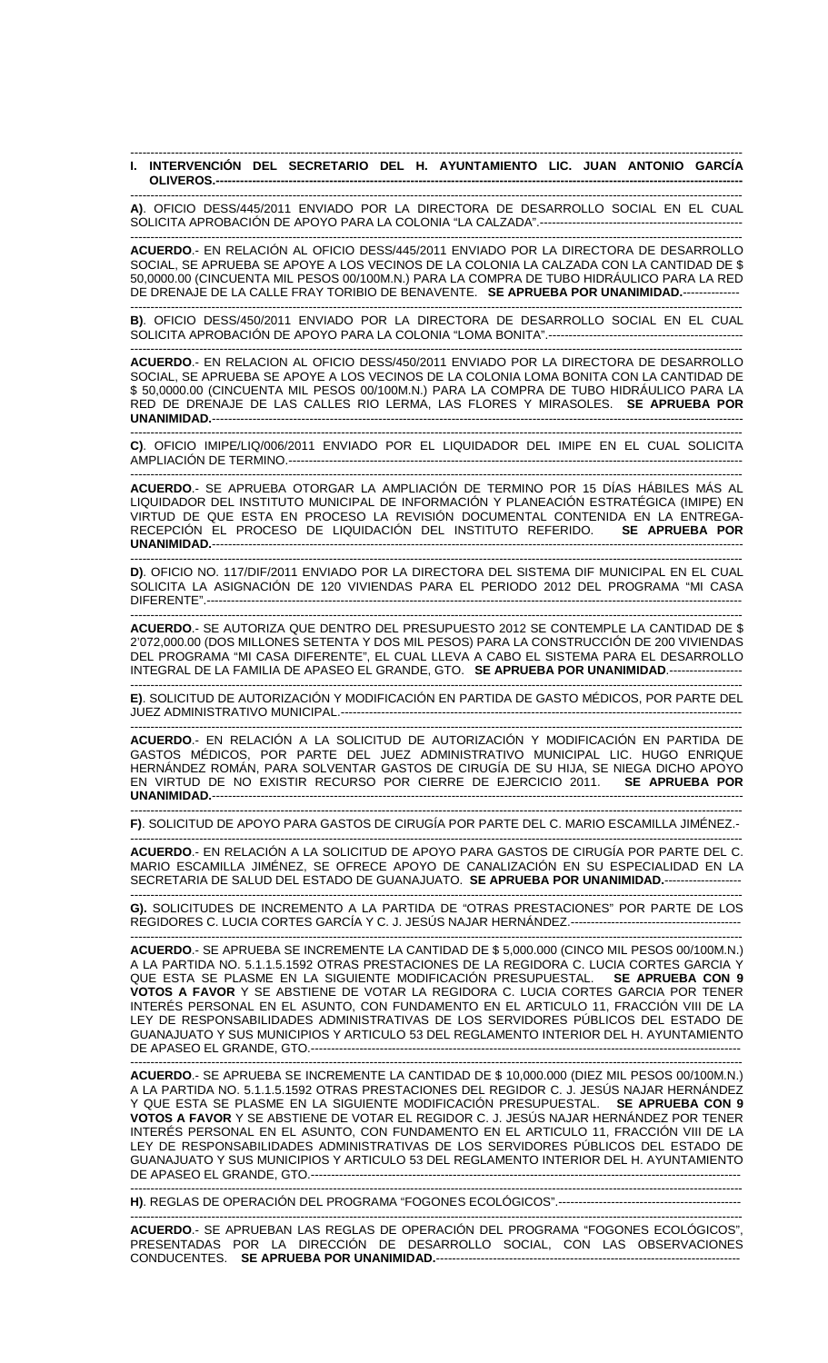## ------------------------------------------------------------------------------------------------------------------------------------------------------- **I. INTERVENCIÓN DEL SECRETARIO DEL H. AYUNTAMIENTO LIC. JUAN ANTONIO GARCÍA OLIVEROS.----------------------------------------------------------------------------------------------------------------------------------**

------------------------------------------------------------------------------------------------------------------------------------------------------- **A)**. OFICIO DESS/445/2011 ENVIADO POR LA DIRECTORA DE DESARROLLO SOCIAL EN EL CUAL SOLICITA APROBACIÓN DE APOYO PARA LA COLONIA "LA CALZADA".-----------------

------------------------------------------------------------------------------------------------------------------------------------------------------- **ACUERDO**.- EN RELACIÓN AL OFICIO DESS/445/2011 ENVIADO POR LA DIRECTORA DE DESARROLLO SOCIAL, SE APRUEBA SE APOYE A LOS VECINOS DE LA COLONIA LA CALZADA CON LA CANTIDAD DE \$ 50,0000.00 (CINCUENTA MIL PESOS 00/100M.N.) PARA LA COMPRA DE TUBO HIDRÁULICO PARA LA RED DE DRENAJE DE LA CALLE FRAY TORIBIO DE BENAVENTE. **SE APRUEBA POR UNANIMIDAD.**--------------

------------------------------------------------------------------------------------------------------------------------------------------------------- **B)**. OFICIO DESS/450/2011 ENVIADO POR LA DIRECTORA DE DESARROLLO SOCIAL EN EL CUAL SOLICITA APROBACIÓN DE APOYO PARA LA COLONIA "LOMA BONITA".------------------------------------------------

------------------------------------------------------------------------------------------------------------------------------------------------------- **ACUERDO**.- EN RELACION AL OFICIO DESS/450/2011 ENVIADO POR LA DIRECTORA DE DESARROLLO SOCIAL, SE APRUEBA SE APOYE A LOS VECINOS DE LA COLONIA LOMA BONITA CON LA CANTIDAD DE \$ 50,0000.00 (CINCUENTA MIL PESOS 00/100M.N.) PARA LA COMPRA DE TUBO HIDRÁULICO PARA LA RED DE DRENAJE DE LAS CALLES RIO LERMA, LAS FLORES Y MIRASOLES. **SE APRUEBA POR UNANIMIDAD.**-----------------------------------------------------------------------------------------------------------------------------------

------------------------------------------------------------------------------------------------------------------------------------------------------- **C)**. OFICIO IMIPE/LIQ/006/2011 ENVIADO POR EL LIQUIDADOR DEL IMIPE EN EL CUAL SOLICITA AMPLIACIÓN DE TERMINO.----------------------------------------------------------------------------------------------------------------

------------------------------------------------------------------------------------------------------------------------------------------------------- **ACUERDO**.- SE APRUEBA OTORGAR LA AMPLIACIÓN DE TERMINO POR 15 DÍAS HÁBILES MÁS AL LIQUIDADOR DEL INSTITUTO MUNICIPAL DE INFORMACIÓN Y PLANEACIÓN ESTRATÉGICA (IMIPE) EN VIRTUD DE QUE ESTA EN PROCESO LA REVISIÓN DOCUMENTAL CONTENIDA EN LA ENTREGA-RECEPCIÓN EL PROCESO DE LIQUIDACIÓN DEL INSTITUTO REFERIDO. **SE APRUEBA POR UNANIMIDAD.**-----------------------------------------------------------------------------------------------------------------------------------

------------------------------------------------------------------------------------------------------------------------------------------------------- **D)**. OFICIO NO. 117/DIF/2011 ENVIADO POR LA DIRECTORA DEL SISTEMA DIF MUNICIPAL EN EL CUAL SOLICITA LA ASIGNACIÓN DE 120 VIVIENDAS PARA EL PERIODO 2012 DEL PROGRAMA "MI CASA DIFERENTE".------------------------------------------------------------------------------------------------------------------------------------

------------------------------------------------------------------------------------------------------------------------------------------------------- **ACUERDO**.- SE AUTORIZA QUE DENTRO DEL PRESUPUESTO 2012 SE CONTEMPLE LA CANTIDAD DE \$ 2'072,000.00 (DOS MILLONES SETENTA Y DOS MIL PESOS) PARA LA CONSTRUCCIÓN DE 200 VIVIENDAS DEL PROGRAMA "MI CASA DIFERENTE", EL CUAL LLEVA A CABO EL SISTEMA PARA EL DESARROLLO INTEGRAL DE LA FAMILIA DE APASEO EL GRANDE, GTO. **SE APRUEBA POR UNANIMIDAD**.------------------

------------------------------------------------------------------------------------------------------------------------------------------------------- **E)**. SOLICITUD DE AUTORIZACIÓN Y MODIFICACIÓN EN PARTIDA DE GASTO MÉDICOS, POR PARTE DEL JUEZ ADMINISTRATIVO MUNICIPAL.----------------------

------------------------------------------------------------------------------------------------------------------------------------------------------- **ACUERDO**.- EN RELACIÓN A LA SOLICITUD DE AUTORIZACIÓN Y MODIFICACIÓN EN PARTIDA DE GASTOS MÉDICOS, POR PARTE DEL JUEZ ADMINISTRATIVO MUNICIPAL LIC. HUGO ENRIQUE HERNÁNDEZ ROMÁN, PARA SOLVENTAR GASTOS DE CIRUGÍA DE SU HIJA, SE NIEGA DICHO APOYO EN VIRTUD DE NO EXISTIR RECURSO POR CIERRE DE EJERCICIO 2011. **SE APRUEBA POR UNANIMIDAD.**-----------------------------------------------------------------------------------------------------------------------------------

------------------------------------------------------------------------------------------------------------------------------------------------------- **F)**. SOLICITUD DE APOYO PARA GASTOS DE CIRUGÍA POR PARTE DEL C. MARIO ESCAMILLA JIMÉNEZ.-

------------------------------------------------------------------------------------------------------------------------------------------------------- **ACUERDO**.- EN RELACIÓN A LA SOLICITUD DE APOYO PARA GASTOS DE CIRUGÍA POR PARTE DEL C. MARIO ESCAMILLA JIMÉNEZ, SE OFRECE APOYO DE CANALIZACIÓN EN SU ESPECIALIDAD EN LA SECRETARIA DE SALUD DEL ESTADO DE GUANAJUATO. **SE APRUEBA POR UNANIMIDAD.**-------------------

------------------------------------------------------------------------------------------------------------------------------------------------------- **G).** SOLICITUDES DE INCREMENTO A LA PARTIDA DE "OTRAS PRESTACIONES" POR PARTE DE LOS REGIDORES C. LUCIA CORTES GARCÍA Y C. J. JESÚS NAJAR HERNÁNDEZ.-----------------------------

------------------------------------------------------------------------------------------------------------------------------------------------------- **ACUERDO**.- SE APRUEBA SE INCREMENTE LA CANTIDAD DE \$ 5,000.000 (CINCO MIL PESOS 00/100M.N.) A LA PARTIDA NO. 5.1.1.5.1592 OTRAS PRESTACIONES DE LA REGIDORA C. LUCIA CORTES GARCIA Y<br>QUE ESTA SE PLASME EN LA SIGUIENTE MODIFICACIÓN PRESUPUESTAL. **SE APRUEBA CON 9** QUE ESTA SE PLASME EN LA SIGUIENTE MODIFICACIÓN PRESUPUESTAL. **VOTOS A FAVOR** Y SE ABSTIENE DE VOTAR LA REGIDORA C. LUCIA CORTES GARCIA POR TENER INTERÉS PERSONAL EN EL ASUNTO, CON FUNDAMENTO EN EL ARTICULO 11, FRACCIÓN VIII DE LA LEY DE RESPONSABILIDADES ADMINISTRATIVAS DE LOS SERVIDORES PÚBLICOS DEL ESTADO DE GUANAJUATO Y SUS MUNICIPIOS Y ARTICULO 53 DEL REGLAMENTO INTERIOR DEL H. AYUNTAMIENTO DE APASEO EL GRANDE, GTO.----

------------------------------------------------------------------------------------------------------------------------------------------------------- **ACUERDO**.- SE APRUEBA SE INCREMENTE LA CANTIDAD DE \$ 10,000.000 (DIEZ MIL PESOS 00/100M.N.) A LA PARTIDA NO. 5.1.1.5.1592 OTRAS PRESTACIONES DEL REGIDOR C. J. JESÚS NAJAR HERNÁNDEZ Y QUE ESTA SE PLASME EN LA SIGUIENTE MODIFICACIÓN PRESUPUESTAL. **SE APRUEBA CON 9 VOTOS A FAVOR** Y SE ABSTIENE DE VOTAR EL REGIDOR C. J. JESÚS NAJAR HERNÁNDEZ POR TENER INTERÉS PERSONAL EN EL ASUNTO, CON FUNDAMENTO EN EL ARTICULO 11, FRACCIÓN VIII DE LA LEY DE RESPONSABILIDADES ADMINISTRATIVAS DE LOS SERVIDORES PÚBLICOS DEL ESTADO DE GUANAJUATO Y SUS MUNICIPIOS Y ARTICULO 53 DEL REGLAMENTO INTERIOR DEL H. AYUNTAMIENTO DE APASEO EL GRANDE, GTO.---------------------------------------------------------------------------------------------------------- -------------------------------------------------------------------------------------------------------------------------------------------------------

**H)**. REGLAS DE OPERACIÓN DEL PROGRAMA "FOGONES ECOLÓGICOS".---------------------------------------------

------------------------------------------------------------------------------------------------------------------------------------------------------- **ACUERDO**.- SE APRUEBAN LAS REGLAS DE OPERACIÓN DEL PROGRAMA "FOGONES ECOLÓGICOS", PRESENTADAS POR LA DIRECCIÓN DE DESARROLLO SOCIAL, CON LAS OBSERVACIONES CONDUCENTES. **SE APRUEBA POR UNANIMIDAD.**---------------------------------------------------------------------------